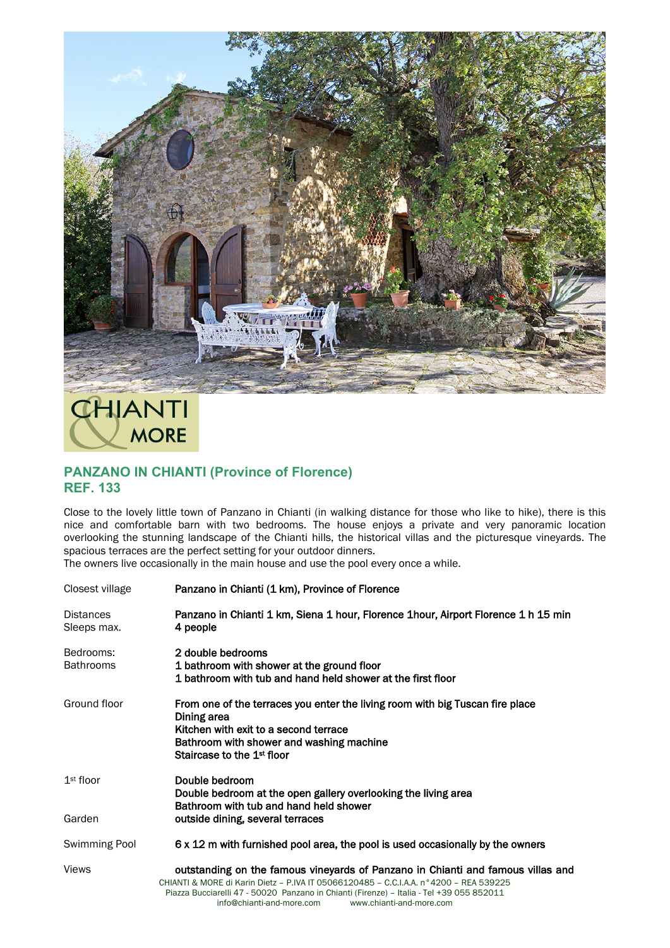

**CHIANTI MORE** 

## **PANZANO IN CHIANTI (Province of Florence) REF. 133**

Close to the lovely little town of Panzano in Chianti (in walking distance for those who like to hike), there is this nice and comfortable barn with two bedrooms. The house enjoys a private and very panoramic location overlooking the stunning landscape of the Chianti hills, the historical villas and the picturesque vineyards. The spacious terraces are the perfect setting for your outdoor dinners.

The owners live occasionally in the main house and use the pool every once a while.

| Closest village                 | Panzano in Chianti (1 km), Province of Florence                                                                                                                                                                                                                                                                               |
|---------------------------------|-------------------------------------------------------------------------------------------------------------------------------------------------------------------------------------------------------------------------------------------------------------------------------------------------------------------------------|
| <b>Distances</b><br>Sleeps max. | Panzano in Chianti 1 km, Siena 1 hour, Florence 1 hour, Airport Florence 1 h 15 min<br>4 people                                                                                                                                                                                                                               |
| Bedrooms:<br><b>Bathrooms</b>   | 2 double bedrooms<br>1 bathroom with shower at the ground floor<br>1 bathroom with tub and hand held shower at the first floor                                                                                                                                                                                                |
| Ground floor                    | From one of the terraces you enter the living room with big Tuscan fire place<br>Dining area<br>Kitchen with exit to a second terrace<br>Bathroom with shower and washing machine<br>Staircase to the 1 <sup>st</sup> floor                                                                                                   |
| $1st$ floor                     | Double bedroom<br>Double bedroom at the open gallery overlooking the living area<br>Bathroom with tub and hand held shower                                                                                                                                                                                                    |
| Garden                          | outside dining, several terraces                                                                                                                                                                                                                                                                                              |
| Swimming Pool                   | 6 x 12 m with furnished pool area, the pool is used occasionally by the owners                                                                                                                                                                                                                                                |
| <b>Views</b>                    | outstanding on the famous vineyards of Panzano in Chianti and famous villas and<br>CHIANTI & MORE di Karin Dietz - P.IVA IT 05066120485 - C.C.I.A.A. n°4200 - REA 539225<br>Piazza Bucciarelli 47 - 50020 Panzano in Chianti (Firenze) - Italia - Tel +39 055 852011<br>info@chianti-and-more.com<br>www.chianti-and-more.com |